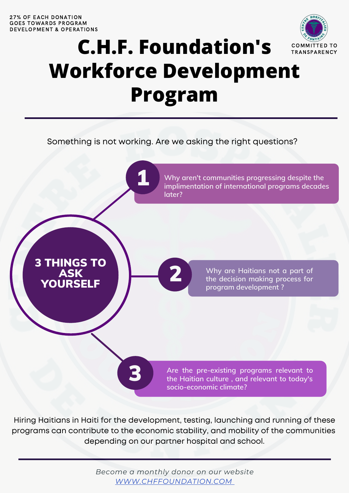

## C.H.F. Foundation's COMMITTED TO **Workforce Development Program**

Something is not working. Are we asking the right questions?

2



3

**Why aren't communities progressing despite the implimentation of international programs decades later?**

3 THINGS TO ASK YOURSELF



**Are the pre-existing programs relevant to the Haitian culture , and relevant to today's socio-economic climate?**

Hiring Haitians in Haiti for the development, testing, launching and running of these programs can contribute to the economic stability, and mobility of the communities depending on our partner hospital and school.

> *Become a monthly donor on our website [WWW.CHFFOUNDATION.COM](http://www.chffoundation.com/)*